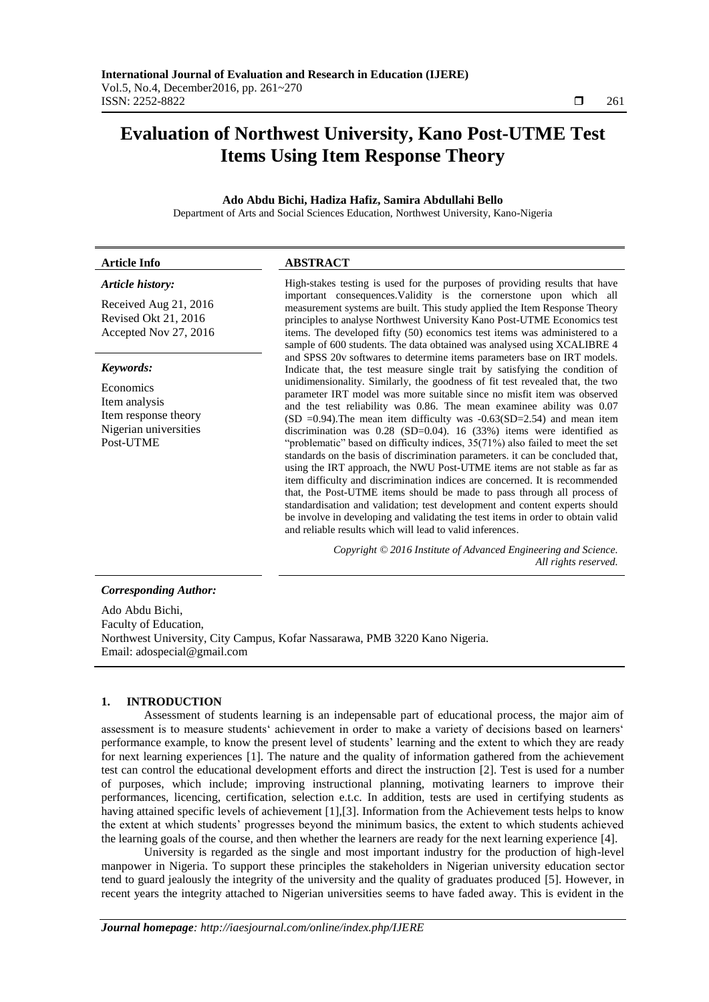# **Evaluation of Northwest University, Kano Post-UTME Test Items Using Item Response Theory**

# **Ado Abdu Bichi, Hadiza Hafiz, Samira Abdullahi Bello**

Department of Arts and Social Sciences Education, Northwest University, Kano-Nigeria

# **Article Info ABSTRACT**

# *Article history:*

Received Aug 21, 2016 Revised Okt 21, 2016 Accepted Nov 27, 2016

# *Keywords:*

Economics Item analysis Item response theory Nigerian universities Post-UTME

High-stakes testing is used for the purposes of providing results that have important consequences.Validity is the cornerstone upon which all measurement systems are built. This study applied the Item Response Theory principles to analyse Northwest University Kano Post-UTME Economics test items. The developed fifty (50) economics test items was administered to a sample of 600 students. The data obtained was analysed using XCALIBRE 4 and SPSS 20v softwares to determine items parameters base on IRT models. Indicate that, the test measure single trait by satisfying the condition of unidimensionality. Similarly, the goodness of fit test revealed that, the two parameter IRT model was more suitable since no misfit item was observed and the test reliability was 0.86. The mean examinee ability was 0.07 (SD =0.94). The mean item difficulty was  $-0.63(SD=2.54)$  and mean item discrimination was 0.28 (SD=0.04). 16 (33%) items were identified as "problematic" based on difficulty indices, 35(71%) also failed to meet the set standards on the basis of discrimination parameters. it can be concluded that, using the IRT approach, the NWU Post-UTME items are not stable as far as item difficulty and discrimination indices are concerned. It is recommended that, the Post-UTME items should be made to pass through all process of standardisation and validation; test development and content experts should be involve in developing and validating the test items in order to obtain valid and reliable results which will lead to valid inferences.

> *Copyright © 2016 Institute of Advanced Engineering and Science. All rights reserved.*

# *Corresponding Author:*

Ado Abdu Bichi, Faculty of Education, Northwest University, City Campus, Kofar Nassarawa, PMB 3220 Kano Nigeria. Email: adospecial@gmail.com

#### **1. INTRODUCTION**

Assessment of students learning is an indepensable part of educational process, the major aim of assessment is to measure students" achievement in order to make a variety of decisions based on learners" performance example, to know the present level of students" learning and the extent to which they are ready for next learning experiences [1]. The nature and the quality of information gathered from the achievement test can control the educational development efforts and direct the instruction [2]. Test is used for a number of purposes, which include; improving instructional planning, motivating learners to improve their performances, licencing, certification, selection e.t.c. In addition, tests are used in certifying students as having attained specific levels of achievement [1],[3]. Information from the Achievement tests helps to know the extent at which students" progresses beyond the minimum basics, the extent to which students achieved the learning goals of the course, and then whether the learners are ready for the next learning experience [4].

University is regarded as the single and most important industry for the production of high-level manpower in Nigeria. To support these principles the stakeholders in Nigerian university education sector tend to guard jealously the integrity of the university and the quality of graduates produced [5]. However, in recent years the integrity attached to Nigerian universities seems to have faded away. This is evident in the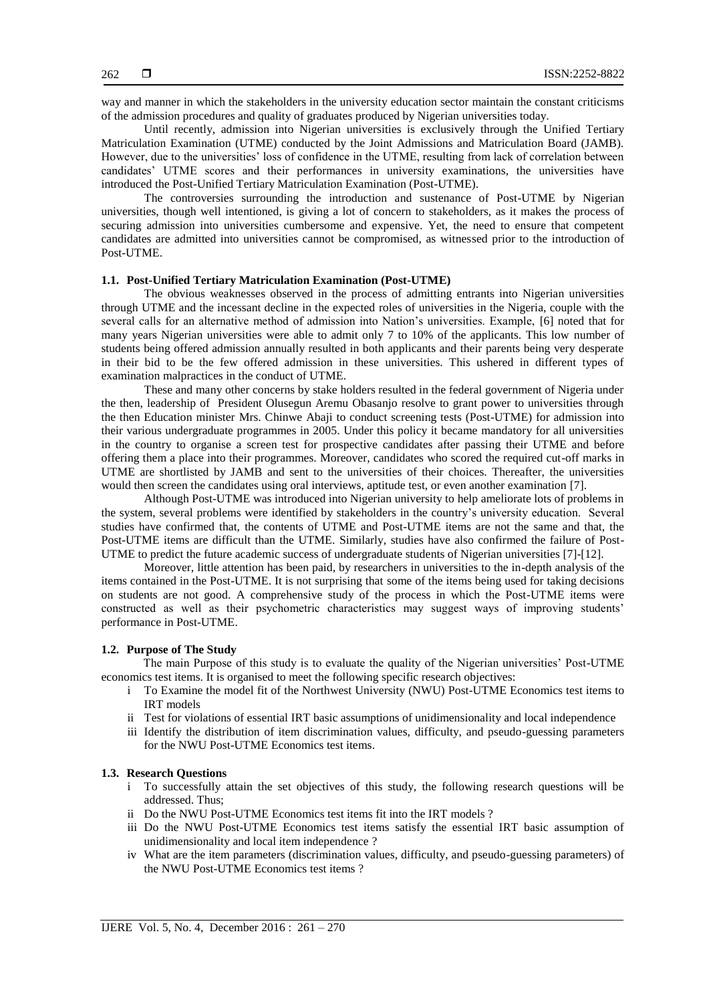way and manner in which the stakeholders in the university education sector maintain the constant criticisms of the admission procedures and quality of graduates produced by Nigerian universities today.

Until recently, admission into Nigerian universities is exclusively through the Unified Tertiary Matriculation Examination (UTME) conducted by the Joint Admissions and Matriculation Board (JAMB). However, due to the universities" loss of confidence in the UTME, resulting from lack of correlation between candidates" UTME scores and their performances in university examinations, the universities have introduced the Post-Unified Tertiary Matriculation Examination (Post-UTME).

The controversies surrounding the introduction and sustenance of Post-UTME by Nigerian universities, though well intentioned, is giving a lot of concern to stakeholders, as it makes the process of securing admission into universities cumbersome and expensive. Yet, the need to ensure that competent candidates are admitted into universities cannot be compromised, as witnessed prior to the introduction of Post-UTME.

# **1.1. Post-Unified Tertiary Matriculation Examination (Post-UTME)**

The obvious weaknesses observed in the process of admitting entrants into Nigerian universities through UTME and the incessant decline in the expected roles of universities in the Nigeria, couple with the several calls for an alternative method of admission into Nation"s universities. Example, [6] noted that for many years Nigerian universities were able to admit only 7 to 10% of the applicants. This low number of students being offered admission annually resulted in both applicants and their parents being very desperate in their bid to be the few offered admission in these universities. This ushered in different types of examination malpractices in the conduct of UTME.

These and many other concerns by stake holders resulted in the federal government of Nigeria under the then, leadership of President Olusegun Aremu Obasanjo resolve to grant power to universities through the then Education minister Mrs. Chinwe Abaji to conduct screening tests (Post-UTME) for admission into their various undergraduate programmes in 2005. Under this policy it became mandatory for all universities in the country to organise a screen test for prospective candidates after passing their UTME and before offering them a place into their programmes. Moreover, candidates who scored the required cut-off marks in UTME are shortlisted by JAMB and sent to the universities of their choices. Thereafter, the universities would then screen the candidates using oral interviews, aptitude test, or even another examination [7].

Although Post-UTME was introduced into Nigerian university to help ameliorate lots of problems in the system, several problems were identified by stakeholders in the country"s university education. Several studies have confirmed that, the contents of UTME and Post-UTME items are not the same and that, the Post-UTME items are difficult than the UTME. Similarly, studies have also confirmed the failure of Post-UTME to predict the future academic success of undergraduate students of Nigerian universities [7]-[12].

Moreover, little attention has been paid, by researchers in universities to the in-depth analysis of the items contained in the Post-UTME. It is not surprising that some of the items being used for taking decisions on students are not good. A comprehensive study of the process in which the Post-UTME items were constructed as well as their psychometric characteristics may suggest ways of improving students' performance in Post-UTME.

# **1.2. Purpose of The Study**

The main Purpose of this study is to evaluate the quality of the Nigerian universities" Post-UTME economics test items. It is organised to meet the following specific research objectives:

- i To Examine the model fit of the Northwest University (NWU) Post-UTME Economics test items to IRT models
- ii Test for violations of essential IRT basic assumptions of unidimensionality and local independence
- iii Identify the distribution of item discrimination values, difficulty, and pseudo-guessing parameters for the NWU Post-UTME Economics test items.

#### **1.3. Research Questions**

- i To successfully attain the set objectives of this study, the following research questions will be addressed. Thus;
- ii Do the NWU Post-UTME Economics test items fit into the IRT models ?
- iii Do the NWU Post-UTME Economics test items satisfy the essential IRT basic assumption of unidimensionality and local item independence ?
- iv What are the item parameters (discrimination values, difficulty, and pseudo-guessing parameters) of the NWU Post-UTME Economics test items ?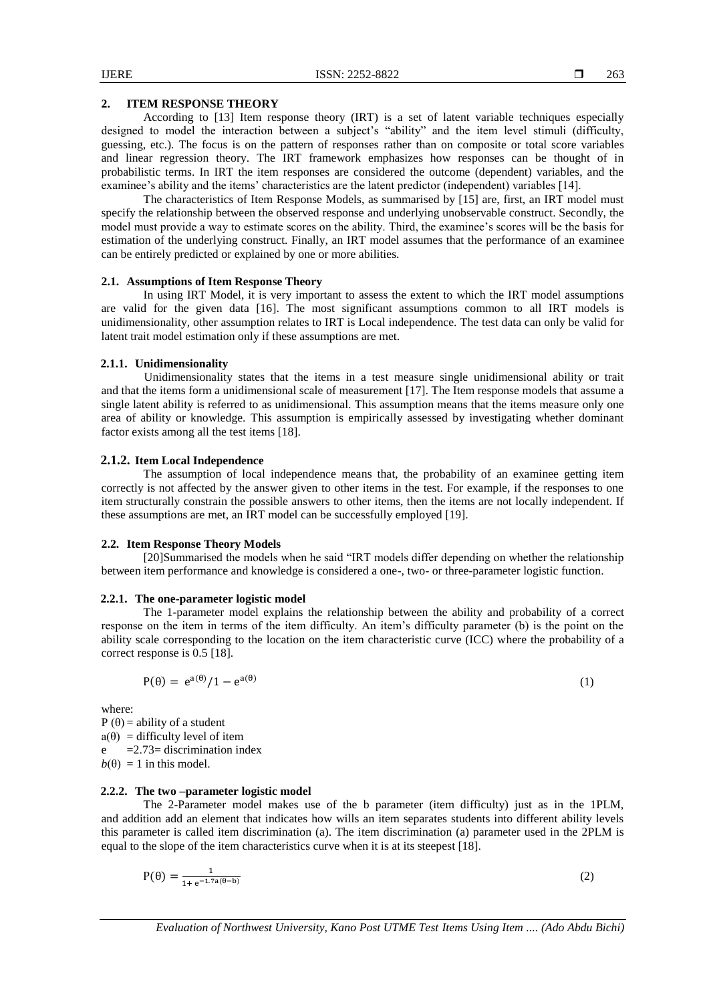# **2. ITEM RESPONSE THEORY**

According to [13] Item response theory (IRT) is a set of latent variable techniques especially designed to model the interaction between a subject"s "ability" and the item level stimuli (difficulty, guessing, etc.). The focus is on the pattern of responses rather than on composite or total score variables and linear regression theory. The IRT framework emphasizes how responses can be thought of in probabilistic terms. In IRT the item responses are considered the outcome (dependent) variables, and the examinee"s ability and the items" characteristics are the latent predictor (independent) variables [14].

The characteristics of Item Response Models, as summarised by [15] are, first, an IRT model must specify the relationship between the observed response and underlying unobservable construct. Secondly, the model must provide a way to estimate scores on the ability. Third, the examinee's scores will be the basis for estimation of the underlying construct. Finally, an IRT model assumes that the performance of an examinee can be entirely predicted or explained by one or more abilities.

# **2.1. Assumptions of Item Response Theory**

In using IRT Model, it is very important to assess the extent to which the IRT model assumptions are valid for the given data [16]. The most significant assumptions common to all IRT models is unidimensionality, other assumption relates to IRT is Local independence. The test data can only be valid for latent trait model estimation only if these assumptions are met.

#### **2.1.1. Unidimensionality**

Unidimensionality states that the items in a test measure single unidimensional ability or trait and that the items form a unidimensional scale of measurement [17]. The Item response models that assume a single latent ability is referred to as unidimensional. This assumption means that the items measure only one area of ability or knowledge. This assumption is empirically assessed by investigating whether dominant factor exists among all the test items [18].

# **2.1.2. Item Local Independence**

The assumption of local independence means that, the probability of an examinee getting item correctly is not affected by the answer given to other items in the test. For example, if the responses to one item structurally constrain the possible answers to other items, then the items are not locally independent. If these assumptions are met, an IRT model can be successfully employed [19].

# **2.2. Item Response Theory Models**

[20]Summarised the models when he said "IRT models differ depending on whether the relationship between item performance and knowledge is considered a one-, two- or three-parameter logistic function.

# **2.2.1. The one-parameter logistic model**

The 1-parameter model explains the relationship between the ability and probability of a correct response on the item in terms of the item difficulty. An item"s difficulty parameter (b) is the point on the ability scale corresponding to the location on the item characteristic curve (ICC) where the probability of a correct response is 0.5 [18].

$$
P(\theta) = e^{a(\theta)}/1 - e^{a(\theta)}
$$

where:

P ( $\theta$ ) = ability of a student  $a(\theta)$  = difficulty level of item  $e = 2.73$ = discrimination index  $b(\theta) = 1$  in this model.

# **2.2.2. The two –parameter logistic model**

The 2-Parameter model makes use of the b parameter (item difficulty) just as in the 1PLM, and addition add an element that indicates how wills an item separates students into different ability levels this parameter is called item discrimination (a). The item discrimination (a) parameter used in the 2PLM is equal to the slope of the item characteristics curve when it is at its steepest [18].

$$
P(\theta) = \frac{1}{1 + e^{-1.7a(\theta - b)}}\tag{2}
$$

*Evaluation of Northwest University, Kano Post UTME Test Items Using Item .... (Ado Abdu Bichi)*

(1)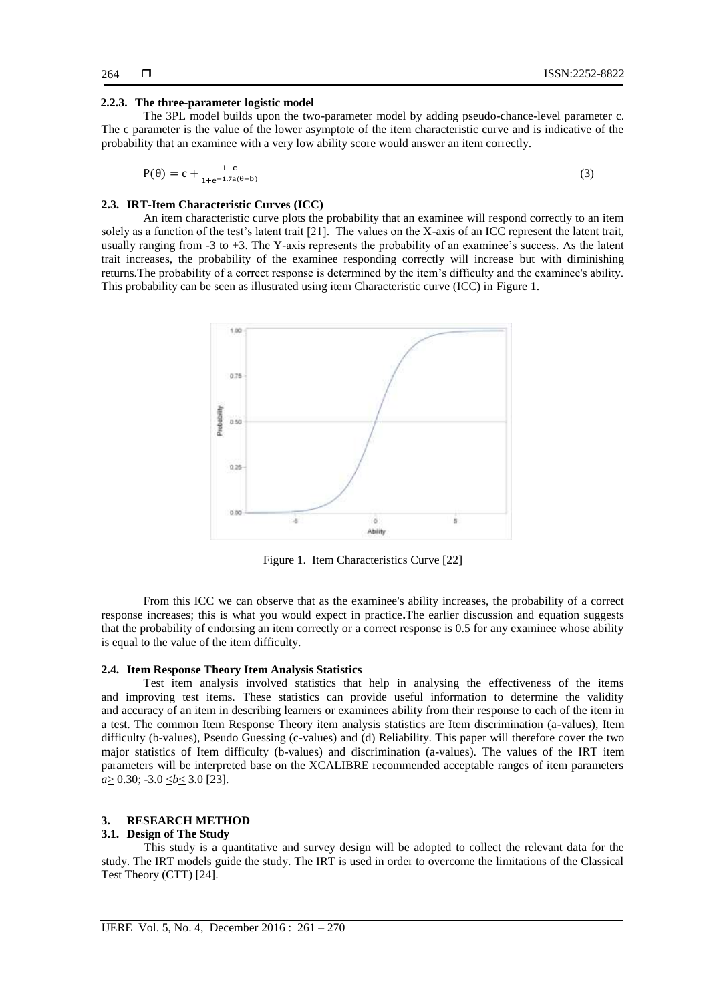# **2.2.3. The three-parameter logistic model**

The 3PL model builds upon the two-parameter model by adding pseudo-chance-level parameter c. The c parameter is the value of the lower asymptote of the item characteristic curve and is indicative of the probability that an examinee with a very low ability score would answer an item correctly.

$$
P(\theta) = c + \frac{1 - c}{1 + e^{-1.7a(\theta - b)}}\tag{3}
$$

# **2.3. IRT-Item Characteristic Curves (ICC)**

An item characteristic curve plots the probability that an examinee will respond correctly to an item solely as a function of the test"s latent trait [21]. The values on the X-axis of an ICC represent the latent trait, usually ranging from -3 to +3. The Y-axis represents the probability of an examinee's success. As the latent trait increases, the probability of the examinee responding correctly will increase but with diminishing returns.The probability of a correct response is determined by the item"s difficulty and the examinee's ability. This probability can be seen as illustrated using item Characteristic curve (ICC) in Figure 1.



Figure 1. Item Characteristics Curve [22]

From this ICC we can observe that as the examinee's ability increases, the probability of a correct response increases; this is what you would expect in practice**.**The earlier discussion and equation suggests that the probability of endorsing an item correctly or a correct response is 0.5 for any examinee whose ability is equal to the value of the item difficulty.

# **2.4. Item Response Theory Item Analysis Statistics**

Test item analysis involved statistics that help in analysing the effectiveness of the items and improving test items. These statistics can provide useful information to determine the validity and accuracy of an item in describing learners or examinees ability from their response to each of the item in a test. The common Item Response Theory item analysis statistics are Item discrimination (a-values), Item difficulty (b-values), Pseudo Guessing (c-values) and (d) Reliability. This paper will therefore cover the two major statistics of Item difficulty (b-values) and discrimination (a-values). The values of the IRT item parameters will be interpreted base on the XCALIBRE recommended acceptable ranges of item parameters *a*≥ 0.30; -3.0 <u><*b* <</u> 3.0 [23].

# **3. RESEARCH METHOD**

# **3.1. Design of The Study**

This study is a quantitative and survey design will be adopted to collect the relevant data for the study. The IRT models guide the study. The IRT is used in order to overcome the limitations of the Classical Test Theory (CTT) [24].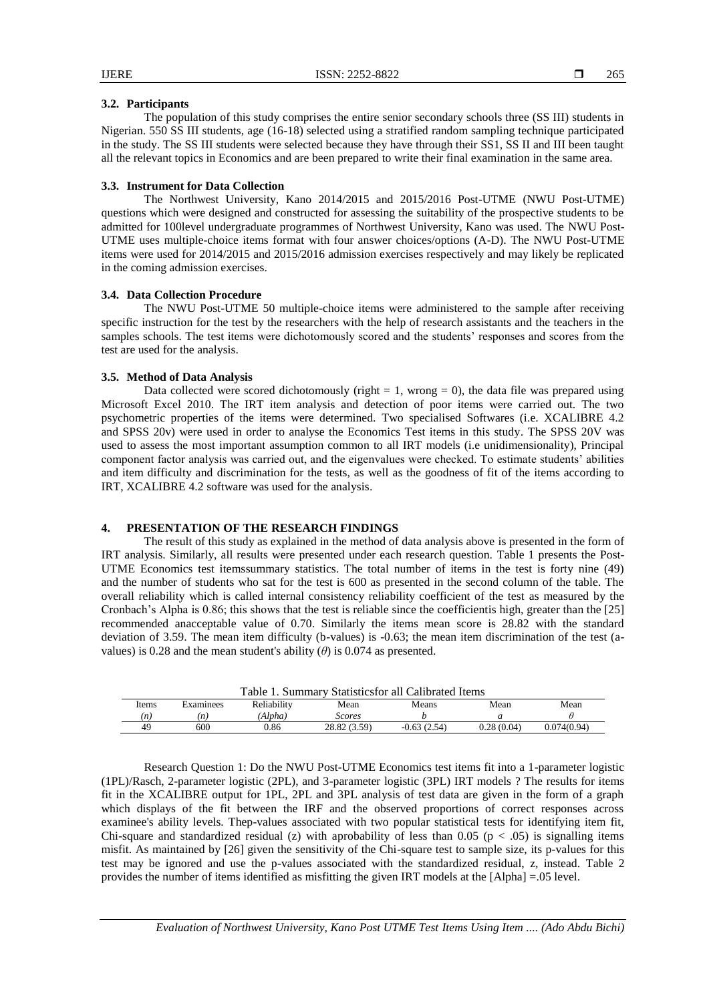# **3.2. Participants**

The population of this study comprises the entire senior secondary schools three (SS III) students in Nigerian. 550 SS III students, age (16-18) selected using a stratified random sampling technique participated in the study. The SS III students were selected because they have through their SS1, SS II and III been taught all the relevant topics in Economics and are been prepared to write their final examination in the same area.

# **3.3. Instrument for Data Collection**

The Northwest University, Kano 2014/2015 and 2015/2016 Post-UTME (NWU Post-UTME) questions which were designed and constructed for assessing the suitability of the prospective students to be admitted for 100level undergraduate programmes of Northwest University, Kano was used. The NWU Post-UTME uses multiple-choice items format with four answer choices/options (A-D). The NWU Post-UTME items were used for 2014/2015 and 2015/2016 admission exercises respectively and may likely be replicated in the coming admission exercises.

# **3.4. Data Collection Procedure**

The NWU Post-UTME 50 multiple-choice items were administered to the sample after receiving specific instruction for the test by the researchers with the help of research assistants and the teachers in the samples schools. The test items were dichotomously scored and the students' responses and scores from the test are used for the analysis.

# **3.5. Method of Data Analysis**

Data collected were scored dichotomously (right  $= 1$ , wrong  $= 0$ ), the data file was prepared using Microsoft Excel 2010. The IRT item analysis and detection of poor items were carried out. The two psychometric properties of the items were determined. Two specialised Softwares (i.e. XCALIBRE 4.2 and SPSS 20v) were used in order to analyse the Economics Test items in this study. The SPSS 20V was used to assess the most important assumption common to all IRT models (i.e unidimensionality), Principal component factor analysis was carried out, and the eigenvalues were checked. To estimate students" abilities and item difficulty and discrimination for the tests, as well as the goodness of fit of the items according to IRT, XCALIBRE 4.2 software was used for the analysis.

# **4. PRESENTATION OF THE RESEARCH FINDINGS**

The result of this study as explained in the method of data analysis above is presented in the form of IRT analysis. Similarly, all results were presented under each research question. Table 1 presents the Post-UTME Economics test itemssummary statistics. The total number of items in the test is forty nine (49) and the number of students who sat for the test is 600 as presented in the second column of the table. The overall reliability which is called internal consistency reliability coefficient of the test as measured by the Cronbach"s Alpha is 0.86; this shows that the test is reliable since the coefficientis high, greater than the [25] recommended anacceptable value of 0.70. Similarly the items mean score is 28.82 with the standard deviation of 3.59. The mean item difficulty (b-values) is -0.63; the mean item discrimination of the test (avalues) is 0.28 and the mean student's ability  $(\theta)$  is 0.074 as presented.

|       |           | Table<br>Summary ' | / Statisticsfor all ( | Calibrated Items  |            |             |
|-------|-----------|--------------------|-----------------------|-------------------|------------|-------------|
| Items | Examinees | Reliability        | Mean                  | Means             | Mean       | Mean        |
| (n)   | (n)       | (Alpha)            | Scores                |                   |            |             |
|       | 600       | 0.86               | 28.82 (3.59)          | (2.54)<br>$-0.63$ | 0.28(0.04) | 0.074(0.94) |

Research Question 1: Do the NWU Post-UTME Economics test items fit into a 1-parameter logistic (1PL)/Rasch, 2-parameter logistic (2PL), and 3-parameter logistic (3PL) IRT models ? The results for items fit in the XCALIBRE output for 1PL, 2PL and 3PL analysis of test data are given in the form of a graph which displays of the fit between the IRF and the observed proportions of correct responses across examinee's ability levels. Thep-values associated with two popular statistical tests for identifying item fit, Chi-square and standardized residual (z) with aprobability of less than 0.05 ( $p < .05$ ) is signalling items misfit. As maintained by [26] given the sensitivity of the Chi-square test to sample size, its p-values for this test may be ignored and use the p-values associated with the standardized residual, z, instead. Table 2 provides the number of items identified as misfitting the given IRT models at the [Alpha] =.05 level.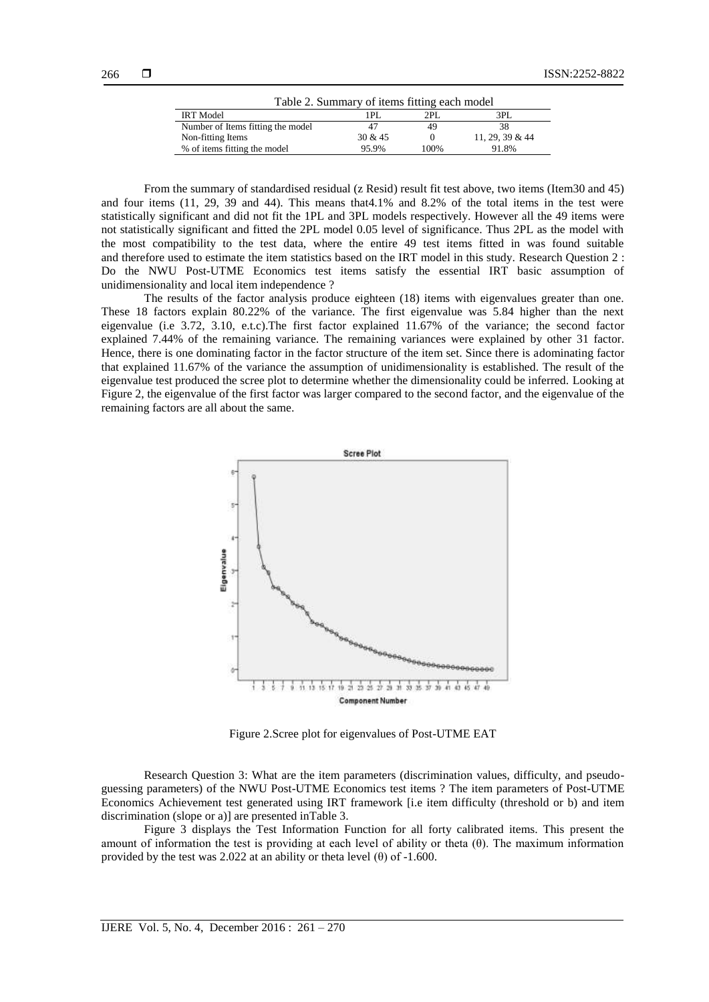| Table 2. Summary of items fitting each model |         |      |                    |  |  |  |  |
|----------------------------------------------|---------|------|--------------------|--|--|--|--|
| <b>IRT</b> Model                             | 1PI.    | 2PI  | 3PL                |  |  |  |  |
| Number of Items fitting the model            | 47      | 49   | 38                 |  |  |  |  |
| Non-fitting Items                            | 30 & 45 |      | $11, 29, 39 \& 44$ |  |  |  |  |
| % of items fitting the model                 | 95.9%   | 100% | 91.8%              |  |  |  |  |

From the summary of standardised residual (z Resid) result fit test above, two items (Item30 and 45) and four items (11, 29, 39 and 44). This means that4.1% and 8.2% of the total items in the test were statistically significant and did not fit the 1PL and 3PL models respectively. However all the 49 items were not statistically significant and fitted the 2PL model 0.05 level of significance. Thus 2PL as the model with the most compatibility to the test data, where the entire 49 test items fitted in was found suitable and therefore used to estimate the item statistics based on the IRT model in this study. Research Question 2 : Do the NWU Post-UTME Economics test items satisfy the essential IRT basic assumption of unidimensionality and local item independence ?

The results of the factor analysis produce eighteen (18) items with eigenvalues greater than one. These 18 factors explain 80.22% of the variance. The first eigenvalue was 5.84 higher than the next eigenvalue (i.e 3.72, 3.10, e.t.c).The first factor explained 11.67% of the variance; the second factor explained 7.44% of the remaining variance. The remaining variances were explained by other 31 factor. Hence, there is one dominating factor in the factor structure of the item set. Since there is adominating factor that explained 11.67% of the variance the assumption of unidimensionality is established. The result of the eigenvalue test produced the scree plot to determine whether the dimensionality could be inferred. Looking at Figure 2, the eigenvalue of the first factor was larger compared to the second factor, and the eigenvalue of the remaining factors are all about the same.



Figure 2.Scree plot for eigenvalues of Post-UTME EAT

Research Question 3: What are the item parameters (discrimination values, difficulty, and pseudoguessing parameters) of the NWU Post-UTME Economics test items ? The item parameters of Post-UTME Economics Achievement test generated using IRT framework [i.e item difficulty (threshold or b) and item discrimination (slope or a)] are presented inTable 3.

Figure 3 displays the Test Information Function for all forty calibrated items. This present the amount of information the test is providing at each level of ability or theta (θ). The maximum information provided by the test was 2.022 at an ability or theta level  $(\theta)$  of -1.600.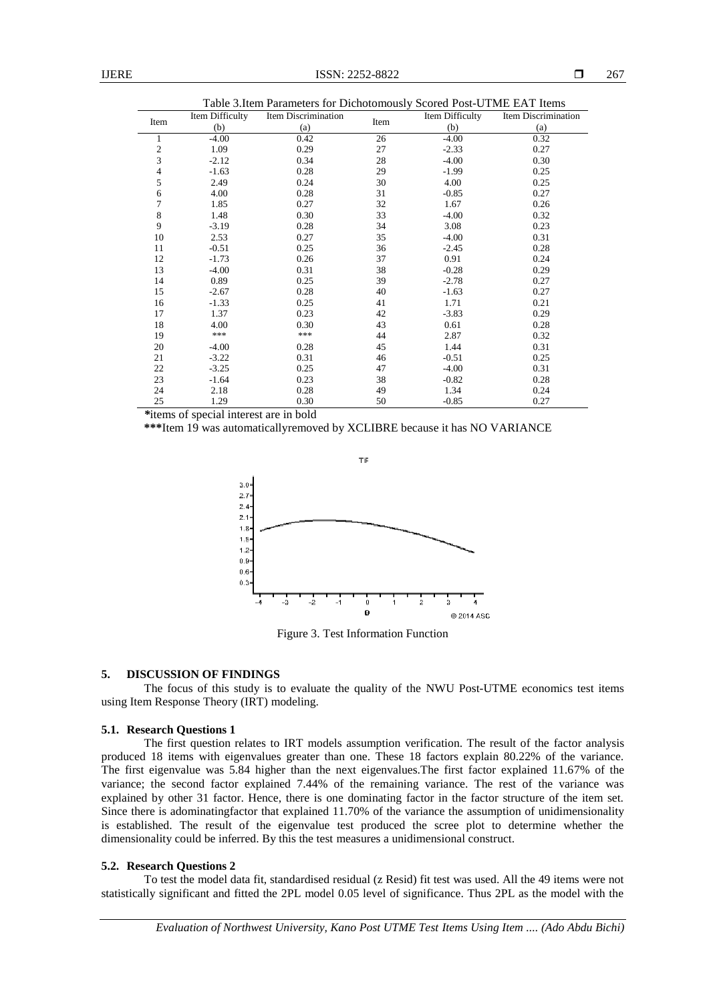| Table 3. Item Parameters for Dichotomously Scored Post-UTME EAT Items |                 |                     |      |                 |                     |  |  |  |  |
|-----------------------------------------------------------------------|-----------------|---------------------|------|-----------------|---------------------|--|--|--|--|
| Item                                                                  | Item Difficulty | Item Discrimination | Item | Item Difficulty | Item Discrimination |  |  |  |  |
|                                                                       | (b)             | (a)                 |      | (b)             | (a)                 |  |  |  |  |
| 1                                                                     | $-4.00$         | 0.42                | 26   | $-4.00$         | 0.32                |  |  |  |  |
| $\overline{\mathbf{c}}$                                               | 1.09            | 0.29                | 27   | $-2.33$         | 0.27                |  |  |  |  |
| 3                                                                     | $-2.12$         | 0.34                | 28   | $-4.00$         | 0.30                |  |  |  |  |
| 4                                                                     | $-1.63$         | 0.28                | 29   | $-1.99$         | 0.25                |  |  |  |  |
| 5                                                                     | 2.49            | 0.24                | 30   | 4.00            | 0.25                |  |  |  |  |
| 6                                                                     | 4.00            | 0.28                | 31   | $-0.85$         | 0.27                |  |  |  |  |
| 7                                                                     | 1.85            | 0.27                | 32   | 1.67            | 0.26                |  |  |  |  |
| 8                                                                     | 1.48            | 0.30                | 33   | $-4.00$         | 0.32                |  |  |  |  |
| 9                                                                     | $-3.19$         | 0.28                | 34   | 3.08            | 0.23                |  |  |  |  |
| 10                                                                    | 2.53            | 0.27                | 35   | $-4.00$         | 0.31                |  |  |  |  |
| 11                                                                    | $-0.51$         | 0.25                | 36   | $-2.45$         | 0.28                |  |  |  |  |
| 12                                                                    | $-1.73$         | 0.26                | 37   | 0.91            | 0.24                |  |  |  |  |
| 13                                                                    | $-4.00$         | 0.31                | 38   | $-0.28$         | 0.29                |  |  |  |  |
| 14                                                                    | 0.89            | 0.25                | 39   | $-2.78$         | 0.27                |  |  |  |  |
| 15                                                                    | $-2.67$         | 0.28                | 40   | $-1.63$         | 0.27                |  |  |  |  |
| 16                                                                    | $-1.33$         | 0.25                | 41   | 1.71            | 0.21                |  |  |  |  |
| 17                                                                    | 1.37            | 0.23                | 42   | $-3.83$         | 0.29                |  |  |  |  |
| 18                                                                    | 4.00            | 0.30                | 43   | 0.61            | 0.28                |  |  |  |  |
| 19                                                                    | ***             | ***                 | 44   | 2.87            | 0.32                |  |  |  |  |
| 20                                                                    | $-4.00$         | 0.28                | 45   | 1.44            | 0.31                |  |  |  |  |
| 21                                                                    | $-3.22$         | 0.31                | 46   | $-0.51$         | 0.25                |  |  |  |  |
| 22                                                                    | $-3.25$         | 0.25                | 47   | $-4.00$         | 0.31                |  |  |  |  |
| 23                                                                    | $-1.64$         | 0.23                | 38   | $-0.82$         | 0.28                |  |  |  |  |
| 24                                                                    | 2.18            | 0.28                | 49   | 1.34            | 0.24                |  |  |  |  |
| 25                                                                    | 1.29            | 0.30                | 50   | $-0.85$         | 0.27                |  |  |  |  |

*\**items of special interest are in bold

**\*\*\***Item 19 was automaticallyremoved by XCLIBRE because it has NO VARIANCE



Figure 3. Test Information Function

# **5. DISCUSSION OF FINDINGS**

The focus of this study is to evaluate the quality of the NWU Post-UTME economics test items using Item Response Theory (IRT) modeling.

# **5.1. Research Questions 1**

The first question relates to IRT models assumption verification. The result of the factor analysis produced 18 items with eigenvalues greater than one. These 18 factors explain 80.22% of the variance. The first eigenvalue was 5.84 higher than the next eigenvalues.The first factor explained 11.67% of the variance; the second factor explained 7.44% of the remaining variance. The rest of the variance was explained by other 31 factor. Hence, there is one dominating factor in the factor structure of the item set. Since there is adominatingfactor that explained 11.70% of the variance the assumption of unidimensionality is established. The result of the eigenvalue test produced the scree plot to determine whether the dimensionality could be inferred. By this the test measures a unidimensional construct.

# **5.2. Research Questions 2**

To test the model data fit, standardised residual (z Resid) fit test was used. All the 49 items were not statistically significant and fitted the 2PL model 0.05 level of significance. Thus 2PL as the model with the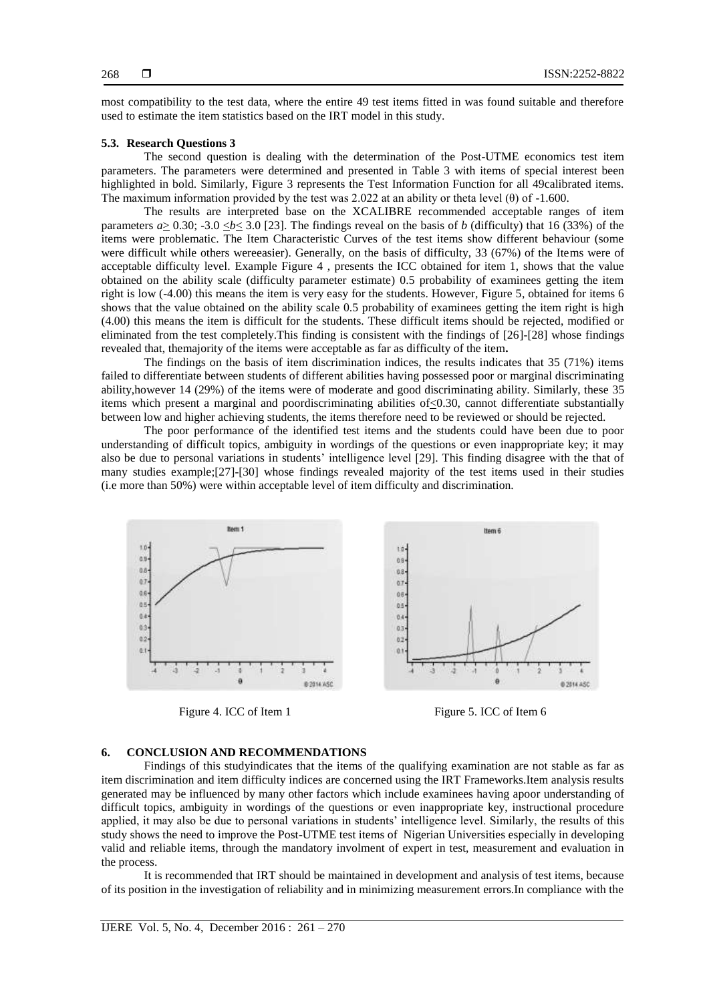most compatibility to the test data, where the entire 49 test items fitted in was found suitable and therefore used to estimate the item statistics based on the IRT model in this study.

# **5.3. Research Questions 3**

The second question is dealing with the determination of the Post-UTME economics test item parameters. The parameters were determined and presented in Table 3 with items of special interest been highlighted in bold. Similarly, Figure 3 represents the Test Information Function for all 49calibrated items. The maximum information provided by the test was 2.022 at an ability or theta level  $(\theta)$  of -1.600.

The results are interpreted base on the XCALIBRE recommended acceptable ranges of item parameters  $a \ge 0.30$ ; -3.0  $\le b \le 3.0$  [23]. The findings reveal on the basis of *b* (difficulty) that 16 (33%) of the items were problematic. The Item Characteristic Curves of the test items show different behaviour (some were difficult while others wereeasier). Generally, on the basis of difficulty, 33 (67%) of the Items were of acceptable difficulty level. Example Figure 4 , presents the ICC obtained for item 1, shows that the value obtained on the ability scale (difficulty parameter estimate) 0.5 probability of examinees getting the item right is low (-4.00) this means the item is very easy for the students. However, Figure 5, obtained for items 6 shows that the value obtained on the ability scale 0.5 probability of examinees getting the item right is high (4.00) this means the item is difficult for the students. These difficult items should be rejected, modified or eliminated from the test completely.This finding is consistent with the findings of [26]-[28] whose findings revealed that, themajority of the items were acceptable as far as difficulty of the item**.** 

The findings on the basis of item discrimination indices, the results indicates that 35 (71%) items failed to differentiate between students of different abilities having possessed poor or marginal discriminating ability,however 14 (29%) of the items were of moderate and good discriminating ability. Similarly, these 35 items which present a marginal and poordiscriminating abilities of <0.30, cannot differentiate substantially between low and higher achieving students, the items therefore need to be reviewed or should be rejected.

The poor performance of the identified test items and the students could have been due to poor understanding of difficult topics, ambiguity in wordings of the questions or even inappropriate key; it may also be due to personal variations in students" intelligence level [29]. This finding disagree with the that of many studies example;[27]-[30] whose findings revealed majority of the test items used in their studies (i.e more than 50%) were within acceptable level of item difficulty and discrimination.



Figure 4. ICC of Item 1 Figure 5. ICC of Item 6



# **6. CONCLUSION AND RECOMMENDATIONS**

Findings of this studyindicates that the items of the qualifying examination are not stable as far as item discrimination and item difficulty indices are concerned using the IRT Frameworks.Item analysis results generated may be influenced by many other factors which include examinees having apoor understanding of difficult topics, ambiguity in wordings of the questions or even inappropriate key, instructional procedure applied, it may also be due to personal variations in students' intelligence level. Similarly, the results of this study shows the need to improve the Post-UTME test items of Nigerian Universities especially in developing valid and reliable items, through the mandatory involment of expert in test, measurement and evaluation in the process.

It is recommended that IRT should be maintained in development and analysis of test items, because of its position in the investigation of reliability and in minimizing measurement errors.In compliance with the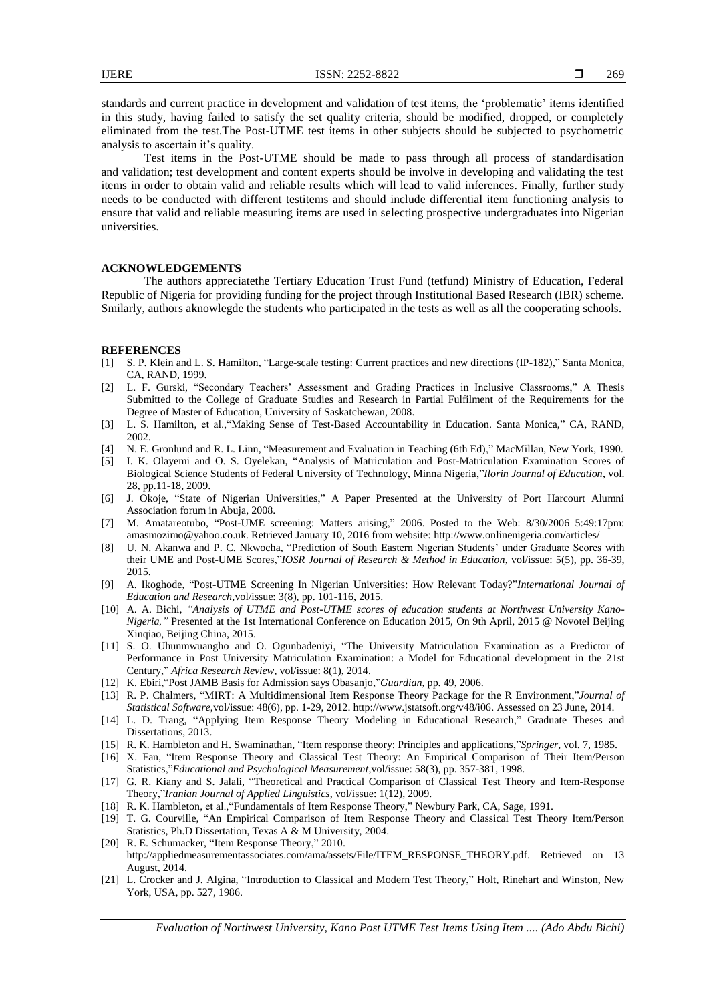standards and current practice in development and validation of test items, the 'problematic' items identified in this study, having failed to satisfy the set quality criteria, should be modified, dropped, or completely eliminated from the test.The Post-UTME test items in other subjects should be subjected to psychometric analysis to ascertain it's quality.

Test items in the Post-UTME should be made to pass through all process of standardisation and validation; test development and content experts should be involve in developing and validating the test items in order to obtain valid and reliable results which will lead to valid inferences. Finally, further study needs to be conducted with different testitems and should include differential item functioning analysis to ensure that valid and reliable measuring items are used in selecting prospective undergraduates into Nigerian universities.

# **ACKNOWLEDGEMENTS**

The authors appreciatethe Tertiary Education Trust Fund (tetfund) Ministry of Education, Federal Republic of Nigeria for providing funding for the project through Institutional Based Research (IBR) scheme. Smilarly, authors aknowlegde the students who participated in the tests as well as all the cooperating schools.

#### **REFERENCES**

- [1] S. P. Klein and L. S. Hamilton, "Large-scale testing: Current practices and new directions (IP-182)," Santa Monica, CA, RAND, 1999.
- [2] L. F. Gurski, "Secondary Teachers" Assessment and Grading Practices in Inclusive Classrooms," A Thesis Submitted to the College of Graduate Studies and Research in Partial Fulfilment of the Requirements for the Degree of Master of Education, University of Saskatchewan, 2008.
- [3] L. S. Hamilton, et al.,"Making Sense of Test-Based Accountability in Education. Santa Monica," CA, RAND, 2002.
- [4] N. E. Gronlund and R. L. Linn, "Measurement and Evaluation in Teaching (6th Ed)," MacMillan, New York, 1990.
- [5] I. K. Olayemi and O. S. Oyelekan, "Analysis of Matriculation and Post-Matriculation Examination Scores of Biological Science Students of Federal University of Technology, Minna Nigeria,"*Ilorin Journal of Education*, vol. 28, pp.11-18, 2009.
- [6] J. Okoje, "State of Nigerian Universities," A Paper Presented at the University of Port Harcourt Alumni Association forum in Abuja, 2008.
- [7] M. Amatareotubo, "Post-UME screening: Matters arising," 2006. Posted to the Web: 8/30/2006 5:49:17pm: amasmozimo@yahoo.co.uk. Retrieved January 10, 2016 from website:<http://www.onlinenigeria.com/articles/>
- [8] U. N. Akanwa and P. C. Nkwocha, "Prediction of South Eastern Nigerian Students" under Graduate Scores with their UME and Post-UME Scores,"*IOSR Journal of Research & Method in Education*, vol/issue: 5(5), pp. 36-39, 2015.
- [9] A. Ikoghode, "Post-UTME Screening In Nigerian Universities: How Relevant Today?"*International Journal of Education and Research*,vol/issue: 3(8), pp. 101-116, 2015.
- [10] A. A. Bichi, *"Analysis of UTME and Post-UTME scores of education students at Northwest University Kano-Nigeria,"* Presented at the 1st International Conference on Education 2015, On 9th April, 2015 @ Novotel Beijing Xinqiao, Beijing China, 2015.
- [11] S. O. Uhunmwuangho and O. Ogunbadeniyi, "The University Matriculation Examination as a Predictor of Performance in Post University Matriculation Examination: a Model for Educational development in the 21st Century," *Africa Research Review*, vol/issue: 8(1), 2014.
- [12] K. Ebiri,"Post JAMB Basis for Admission says Obasanjo,"*Guardian,* pp. 49, 2006.
- [13] R. P. Chalmers, "MIRT: A Multidimensional Item Response Theory Package for the R Environment,"*Journal of Statistical Software*,vol/issue: 48(6), pp. 1-29, 2012[. http://www.jstatsoft.org/v48/i06.](http://www.jstatsoft.org/v48/i06) Assessed on 23 June, 2014.
- [14] L. D. Trang, "Applying Item Response Theory Modeling in Educational Research," Graduate Theses and Dissertations, 2013.
- [15] R. K. Hambleton and H. Swaminathan, "Item response theory: Principles and applications,"*Springer,* vol. 7, 1985.
- [16] X. Fan, "Item Response Theory and Classical Test Theory: An Empirical Comparison of Their Item/Person Statistics,"*Educational and Psychological Measurement*,vol/issue: 58(3), pp. 357-381, 1998.
- [17] G. R. Kiany and S. Jalali, "Theoretical and Practical Comparison of Classical Test Theory and Item-Response Theory,"*Iranian Journal of Applied Linguistics*, vol/issue: 1(12), 2009.
- [18] R. K. Hambleton, et al.,"Fundamentals of Item Response Theory," Newbury Park, CA, Sage, 1991.
- [19] T. G. Courville, "An Empirical Comparison of Item Response Theory and Classical Test Theory Item/Person Statistics, Ph.D Dissertation, Texas A & M University, 2004.
- [20] R. E. Schumacker, "Item Response Theory," 2010. http://appliedmeasurementassociates.com/ama/assets/File/ITEM\_RESPONSE\_THEORY.pdf. Retrieved on 13 August, 2014.
- [21] L. Crocker and J. Algina, "Introduction to Classical and Modern Test Theory," Holt, Rinehart and Winston, New York, USA, pp. 527, 1986.